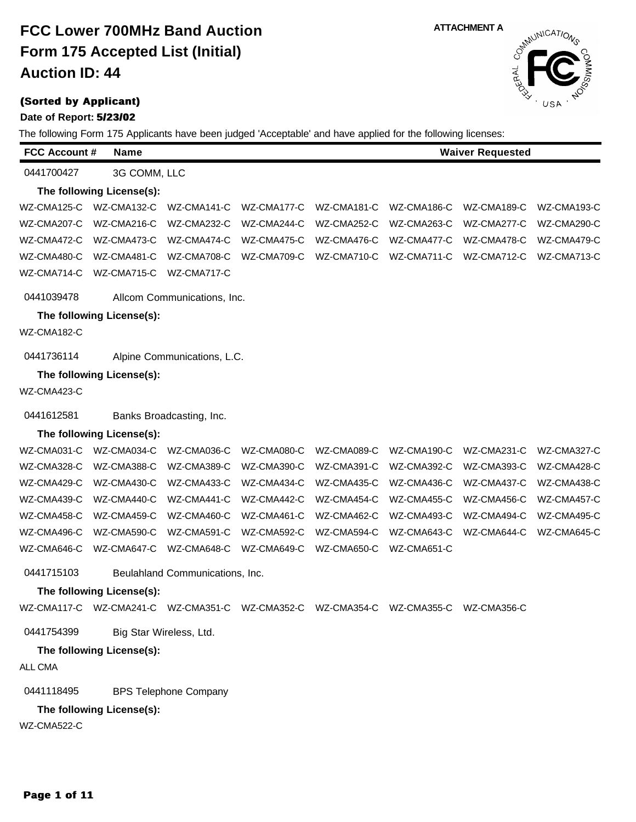

## **(Sorted by Applicant)**

### **Date of Report: 5/23/02**

| <b>FCC Account #</b> | <b>Name</b>               |                                 |             |             |             | <b>Waiver Requested</b> |             |  |  |
|----------------------|---------------------------|---------------------------------|-------------|-------------|-------------|-------------------------|-------------|--|--|
| 0441700427           | 3G COMM, LLC              |                                 |             |             |             |                         |             |  |  |
|                      | The following License(s): |                                 |             |             |             |                         |             |  |  |
| WZ-CMA125-C          | WZ-CMA132-C               | WZ-CMA141-C                     | WZ-CMA177-C | WZ-CMA181-C | WZ-CMA186-C | WZ-CMA189-C             | WZ-CMA193-C |  |  |
| WZ-CMA207-C          | WZ-CMA216-C               | WZ-CMA232-C                     | WZ-CMA244-C | WZ-CMA252-C | WZ-CMA263-C | WZ-CMA277-C             | WZ-CMA290-C |  |  |
| WZ-CMA472-C          | WZ-CMA473-C               | WZ-CMA474-C                     | WZ-CMA475-C | WZ-CMA476-C | WZ-CMA477-C | WZ-CMA478-C             | WZ-CMA479-C |  |  |
| WZ-CMA480-C          | WZ-CMA481-C               | WZ-CMA708-C                     | WZ-CMA709-C | WZ-CMA710-C | WZ-CMA711-C | WZ-CMA712-C             | WZ-CMA713-C |  |  |
| WZ-CMA714-C          | WZ-CMA715-C               | WZ-CMA717-C                     |             |             |             |                         |             |  |  |
| 0441039478           |                           | Allcom Communications, Inc.     |             |             |             |                         |             |  |  |
|                      | The following License(s): |                                 |             |             |             |                         |             |  |  |
| WZ-CMA182-C          |                           |                                 |             |             |             |                         |             |  |  |
| 0441736114           |                           | Alpine Communications, L.C.     |             |             |             |                         |             |  |  |
|                      | The following License(s): |                                 |             |             |             |                         |             |  |  |
| WZ-CMA423-C          |                           |                                 |             |             |             |                         |             |  |  |
| 0441612581           | Banks Broadcasting, Inc.  |                                 |             |             |             |                         |             |  |  |
|                      | The following License(s): |                                 |             |             |             |                         |             |  |  |
| WZ-CMA031-C          | WZ-CMA034-C               | WZ-CMA036-C                     | WZ-CMA080-C | WZ-CMA089-C | WZ-CMA190-C | WZ-CMA231-C             | WZ-CMA327-C |  |  |
| WZ-CMA328-C          | WZ-CMA388-C               | WZ-CMA389-C                     | WZ-CMA390-C | WZ-CMA391-C | WZ-CMA392-C | WZ-CMA393-C             | WZ-CMA428-C |  |  |
| WZ-CMA429-C          | WZ-CMA430-C               | WZ-CMA433-C                     | WZ-CMA434-C | WZ-CMA435-C | WZ-CMA436-C | WZ-CMA437-C             | WZ-CMA438-C |  |  |
| WZ-CMA439-C          | WZ-CMA440-C               | WZ-CMA441-C                     | WZ-CMA442-C | WZ-CMA454-C | WZ-CMA455-C | WZ-CMA456-C             | WZ-CMA457-C |  |  |
| WZ-CMA458-C          | WZ-CMA459-C               | WZ-CMA460-C                     | WZ-CMA461-C | WZ-CMA462-C | WZ-CMA493-C | WZ-CMA494-C             | WZ-CMA495-C |  |  |
| WZ-CMA496-C          | WZ-CMA590-C               | WZ-CMA591-C                     | WZ-CMA592-C | WZ-CMA594-C | WZ-CMA643-C | WZ-CMA644-C             | WZ-CMA645-C |  |  |
| WZ-CMA646-C          | WZ-CMA647-C               | WZ-CMA648-C                     | WZ-CMA649-C | WZ-CMA650-C | WZ-CMA651-C |                         |             |  |  |
| 0441715103           |                           | Beulahland Communications, Inc. |             |             |             |                         |             |  |  |
|                      | The following License(s): |                                 |             |             |             |                         |             |  |  |
| WZ-CMA117-C          |                           | WZ-CMA241-C WZ-CMA351-C         | WZ-CMA352-C | WZ-CMA354-C | WZ-CMA355-C | WZ-CMA356-C             |             |  |  |
| 0441754399           |                           | Big Star Wireless, Ltd.         |             |             |             |                         |             |  |  |
|                      | The following License(s): |                                 |             |             |             |                         |             |  |  |
| ALL CMA              |                           |                                 |             |             |             |                         |             |  |  |
| 0441118495           |                           | <b>BPS Telephone Company</b>    |             |             |             |                         |             |  |  |
|                      | The following License(s): |                                 |             |             |             |                         |             |  |  |
| WZ-CMA522-C          |                           |                                 |             |             |             |                         |             |  |  |
|                      |                           |                                 |             |             |             |                         |             |  |  |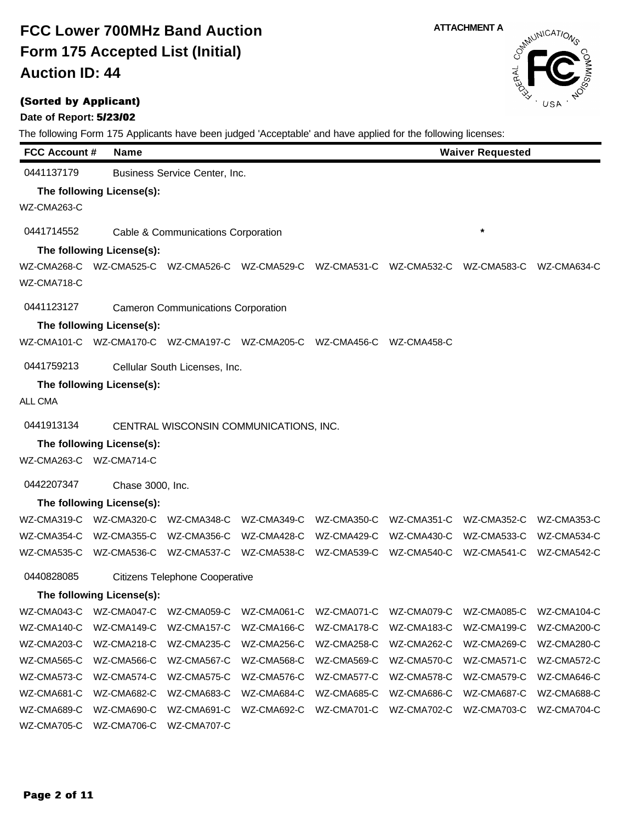

### **(Sorted by Applicant) Date of Report: 5/23/02**

| <b>FCC Account #</b>    | <b>Name</b>               |                                                                                                 |             |             |                         | <b>Waiver Requested</b> |             |
|-------------------------|---------------------------|-------------------------------------------------------------------------------------------------|-------------|-------------|-------------------------|-------------------------|-------------|
| 0441137179              |                           | Business Service Center, Inc.                                                                   |             |             |                         |                         |             |
|                         | The following License(s): |                                                                                                 |             |             |                         |                         |             |
| WZ-CMA263-C             |                           |                                                                                                 |             |             |                         |                         |             |
| 0441714552              |                           | Cable & Communications Corporation                                                              |             |             |                         | $\star$                 |             |
|                         | The following License(s): |                                                                                                 |             |             |                         |                         |             |
|                         |                           | WZ-CMA268-C WZ-CMA525-C WZ-CMA526-C WZ-CMA529-C WZ-CMA531-C WZ-CMA532-C WZ-CMA583-C             |             |             |                         |                         | WZ-CMA634-C |
| WZ-CMA718-C             |                           |                                                                                                 |             |             |                         |                         |             |
| 0441123127              |                           | <b>Cameron Communications Corporation</b>                                                       |             |             |                         |                         |             |
|                         | The following License(s): |                                                                                                 |             |             |                         |                         |             |
|                         |                           | WZ-CMA101-C WZ-CMA170-C WZ-CMA197-C WZ-CMA205-C WZ-CMA456-C WZ-CMA458-C                         |             |             |                         |                         |             |
| 0441759213              |                           | Cellular South Licenses, Inc.                                                                   |             |             |                         |                         |             |
|                         | The following License(s): |                                                                                                 |             |             |                         |                         |             |
| ALL CMA                 |                           |                                                                                                 |             |             |                         |                         |             |
| 0441913134              |                           | CENTRAL WISCONSIN COMMUNICATIONS, INC.                                                          |             |             |                         |                         |             |
|                         | The following License(s): |                                                                                                 |             |             |                         |                         |             |
| WZ-CMA263-C WZ-CMA714-C |                           |                                                                                                 |             |             |                         |                         |             |
| 0442207347              | Chase 3000, Inc.          |                                                                                                 |             |             |                         |                         |             |
|                         | The following License(s): |                                                                                                 |             |             |                         |                         |             |
| WZ-CMA319-C             | WZ-CMA320-C               | WZ-CMA348-C                                                                                     | WZ-CMA349-C |             | WZ-CMA350-C WZ-CMA351-C | WZ-CMA352-C             | WZ-CMA353-C |
| WZ-CMA354-C             | WZ-CMA355-C               | WZ-CMA356-C                                                                                     | WZ-CMA428-C | WZ-CMA429-C | WZ-CMA430-C             | WZ-CMA533-C             | WZ-CMA534-C |
| WZ-CMA535-C             |                           | WZ-CMA536-C WZ-CMA537-C                                                                         | WZ-CMA538-C |             | WZ-CMA539-C WZ-CMA540-C | WZ-CMA541-C             | WZ-CMA542-C |
| 0440828085              |                           | Citizens Telephone Cooperative                                                                  |             |             |                         |                         |             |
|                         | The following License(s): |                                                                                                 |             |             |                         |                         |             |
|                         |                           | WZ-CMA043-C WZ-CMA047-C WZ-CMA059-C WZ-CMA061-C WZ-CMA071-C WZ-CMA079-C WZ-CMA085-C WZ-CMA104-C |             |             |                         |                         |             |
| WZ-CMA140-C             | WZ-CMA149-C               | WZ-CMA157-C                                                                                     | WZ-CMA166-C | WZ-CMA178-C | WZ-CMA183-C             | WZ-CMA199-C             | WZ-CMA200-C |
| WZ-CMA203-C             | WZ-CMA218-C               | WZ-CMA235-C                                                                                     | WZ-CMA256-C | WZ-CMA258-C | WZ-CMA262-C             | WZ-CMA269-C             | WZ-CMA280-C |
| WZ-CMA565-C             | WZ-CMA566-C               | WZ-CMA567-C                                                                                     | WZ-CMA568-C | WZ-CMA569-C | WZ-CMA570-C             | WZ-CMA571-C             | WZ-CMA572-C |
| WZ-CMA573-C             | WZ-CMA574-C               | WZ-CMA575-C                                                                                     | WZ-CMA576-C | WZ-CMA577-C | WZ-CMA578-C             | WZ-CMA579-C             | WZ-CMA646-C |
| WZ-CMA681-C             | WZ-CMA682-C               | WZ-CMA683-C                                                                                     | WZ-CMA684-C | WZ-CMA685-C | WZ-CMA686-C             | WZ-CMA687-C             | WZ-CMA688-C |
| WZ-CMA689-C             | WZ-CMA690-C               | WZ-CMA691-C                                                                                     | WZ-CMA692-C | WZ-CMA701-C | WZ-CMA702-C             | WZ-CMA703-C             | WZ-CMA704-C |
| WZ-CMA705-C             | WZ-CMA706-C               | WZ-CMA707-C                                                                                     |             |             |                         |                         |             |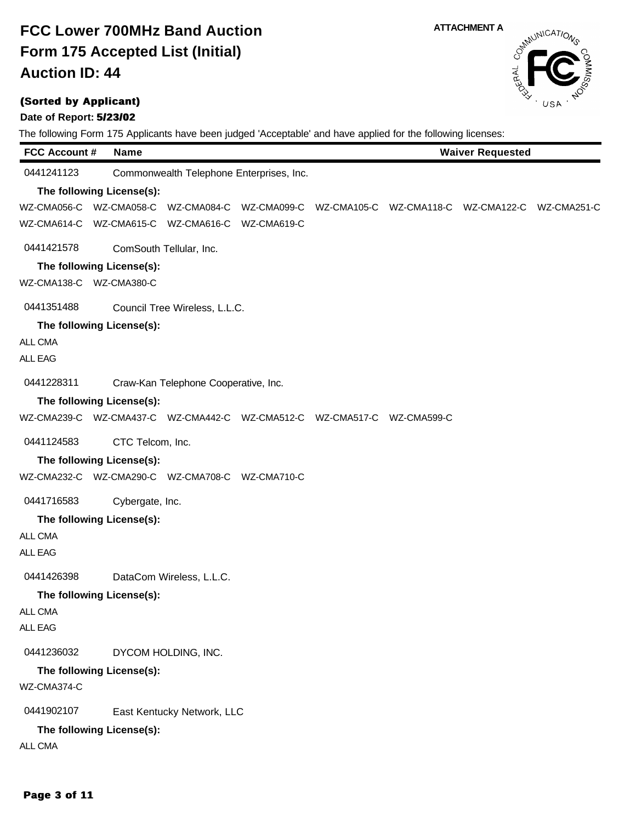### **(Sorted by Applicant) Date of Report: 5/23/02**

The following Form 175 Applicants have been judged 'Acceptable' and have applied for the following licenses:

| <b>FCC Account #</b> | <b>Name</b>               |                                                             | <b>Waiver Requested</b> |                                     |  |             |  |  |
|----------------------|---------------------------|-------------------------------------------------------------|-------------------------|-------------------------------------|--|-------------|--|--|
| 0441241123           |                           | Commonwealth Telephone Enterprises, Inc.                    |                         |                                     |  |             |  |  |
|                      | The following License(s): |                                                             |                         |                                     |  |             |  |  |
|                      |                           | WZ-CMA056-C WZ-CMA058-C WZ-CMA084-C WZ-CMA099-C             |                         | WZ-CMA105-C WZ-CMA118-C WZ-CMA122-C |  | WZ-CMA251-C |  |  |
|                      |                           | WZ-CMA614-C WZ-CMA615-C WZ-CMA616-C WZ-CMA619-C             |                         |                                     |  |             |  |  |
| 0441421578           |                           | ComSouth Tellular, Inc.                                     |                         |                                     |  |             |  |  |
|                      | The following License(s): |                                                             |                         |                                     |  |             |  |  |
|                      | WZ-CMA138-C WZ-CMA380-C   |                                                             |                         |                                     |  |             |  |  |
| 0441351488           |                           | Council Tree Wireless, L.L.C.                               |                         |                                     |  |             |  |  |
|                      | The following License(s): |                                                             |                         |                                     |  |             |  |  |
| <b>ALL CMA</b>       |                           |                                                             |                         |                                     |  |             |  |  |
| ALL EAG              |                           |                                                             |                         |                                     |  |             |  |  |
| 0441228311           |                           | Craw-Kan Telephone Cooperative, Inc.                        |                         |                                     |  |             |  |  |
|                      | The following License(s): |                                                             |                         |                                     |  |             |  |  |
|                      |                           | WZ-CMA239-C WZ-CMA437-C WZ-CMA442-C WZ-CMA512-C WZ-CMA517-C |                         | WZ-CMA599-C                         |  |             |  |  |
| 0441124583           | CTC Telcom, Inc.          |                                                             |                         |                                     |  |             |  |  |
|                      | The following License(s): |                                                             |                         |                                     |  |             |  |  |
|                      |                           | WZ-CMA232-C WZ-CMA290-C WZ-CMA708-C WZ-CMA710-C             |                         |                                     |  |             |  |  |
| 0441716583           | Cybergate, Inc.           |                                                             |                         |                                     |  |             |  |  |
|                      | The following License(s): |                                                             |                         |                                     |  |             |  |  |
| ALL CMA              |                           |                                                             |                         |                                     |  |             |  |  |
| ALL EAG              |                           |                                                             |                         |                                     |  |             |  |  |
| 0441426398           |                           | DataCom Wireless, L.L.C.                                    |                         |                                     |  |             |  |  |
|                      | The following License(s): |                                                             |                         |                                     |  |             |  |  |
| ALL CMA              |                           |                                                             |                         |                                     |  |             |  |  |
| <b>ALL EAG</b>       |                           |                                                             |                         |                                     |  |             |  |  |
| 0441236032           |                           | DYCOM HOLDING, INC.                                         |                         |                                     |  |             |  |  |
|                      | The following License(s): |                                                             |                         |                                     |  |             |  |  |
| WZ-CMA374-C          |                           |                                                             |                         |                                     |  |             |  |  |
| 0441902107           |                           | East Kentucky Network, LLC                                  |                         |                                     |  |             |  |  |
|                      | The following License(s): |                                                             |                         |                                     |  |             |  |  |
| ALL CMA              |                           |                                                             |                         |                                     |  |             |  |  |

**ATTACHMENT A**

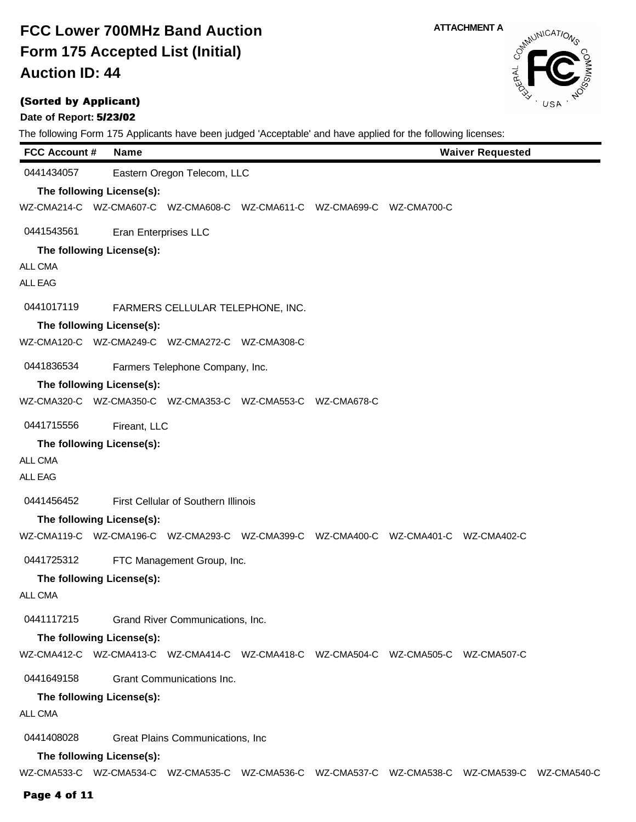**(Sorted by Applicant) Date of Report: 5/23/02**

| <b>FCC Account #</b> | <b>Name</b>               |                                                                                                 |  | <b>Waiver Requested</b> |  |  |  |
|----------------------|---------------------------|-------------------------------------------------------------------------------------------------|--|-------------------------|--|--|--|
| 0441434057           |                           | Eastern Oregon Telecom, LLC                                                                     |  |                         |  |  |  |
|                      | The following License(s): |                                                                                                 |  |                         |  |  |  |
|                      |                           | WZ-CMA214-C WZ-CMA607-C WZ-CMA608-C WZ-CMA611-C WZ-CMA699-C WZ-CMA700-C                         |  |                         |  |  |  |
| 0441543561           | Eran Enterprises LLC      |                                                                                                 |  |                         |  |  |  |
|                      | The following License(s): |                                                                                                 |  |                         |  |  |  |
| <b>ALL CMA</b>       |                           |                                                                                                 |  |                         |  |  |  |
| <b>ALL EAG</b>       |                           |                                                                                                 |  |                         |  |  |  |
| 0441017119           |                           | FARMERS CELLULAR TELEPHONE, INC.                                                                |  |                         |  |  |  |
|                      | The following License(s): |                                                                                                 |  |                         |  |  |  |
|                      |                           | WZ-CMA120-C WZ-CMA249-C WZ-CMA272-C WZ-CMA308-C                                                 |  |                         |  |  |  |
| 0441836534           |                           | Farmers Telephone Company, Inc.                                                                 |  |                         |  |  |  |
|                      | The following License(s): |                                                                                                 |  |                         |  |  |  |
|                      |                           | WZ-CMA320-C WZ-CMA350-C WZ-CMA353-C WZ-CMA553-C WZ-CMA678-C                                     |  |                         |  |  |  |
| 0441715556           | Fireant, LLC              |                                                                                                 |  |                         |  |  |  |
|                      | The following License(s): |                                                                                                 |  |                         |  |  |  |
| <b>ALL CMA</b>       |                           |                                                                                                 |  |                         |  |  |  |
| <b>ALL EAG</b>       |                           |                                                                                                 |  |                         |  |  |  |
| 0441456452           |                           | <b>First Cellular of Southern Illinois</b>                                                      |  |                         |  |  |  |
|                      | The following License(s): |                                                                                                 |  |                         |  |  |  |
|                      |                           | WZ-CMA119-C WZ-CMA196-C WZ-CMA293-C WZ-CMA399-C WZ-CMA400-C WZ-CMA401-C WZ-CMA402-C             |  |                         |  |  |  |
| 0441725312           |                           | FTC Management Group, Inc.                                                                      |  |                         |  |  |  |
|                      | The following License(s): |                                                                                                 |  |                         |  |  |  |
| <b>ALL CMA</b>       |                           |                                                                                                 |  |                         |  |  |  |
| 0441117215           |                           | Grand River Communications, Inc.                                                                |  |                         |  |  |  |
|                      | The following License(s): |                                                                                                 |  |                         |  |  |  |
|                      |                           | WZ-CMA412-C WZ-CMA413-C WZ-CMA414-C WZ-CMA418-C WZ-CMA504-C WZ-CMA505-C WZ-CMA507-C             |  |                         |  |  |  |
| 0441649158           |                           | Grant Communications Inc.                                                                       |  |                         |  |  |  |
|                      | The following License(s): |                                                                                                 |  |                         |  |  |  |
| ALL CMA              |                           |                                                                                                 |  |                         |  |  |  |
| 0441408028           |                           | Great Plains Communications, Inc.                                                               |  |                         |  |  |  |
|                      | The following License(s): |                                                                                                 |  |                         |  |  |  |
|                      |                           | WZ-CMA533-C WZ-CMA534-C WZ-CMA535-C WZ-CMA536-C WZ-CMA537-C WZ-CMA538-C WZ-CMA539-C WZ-CMA540-C |  |                         |  |  |  |

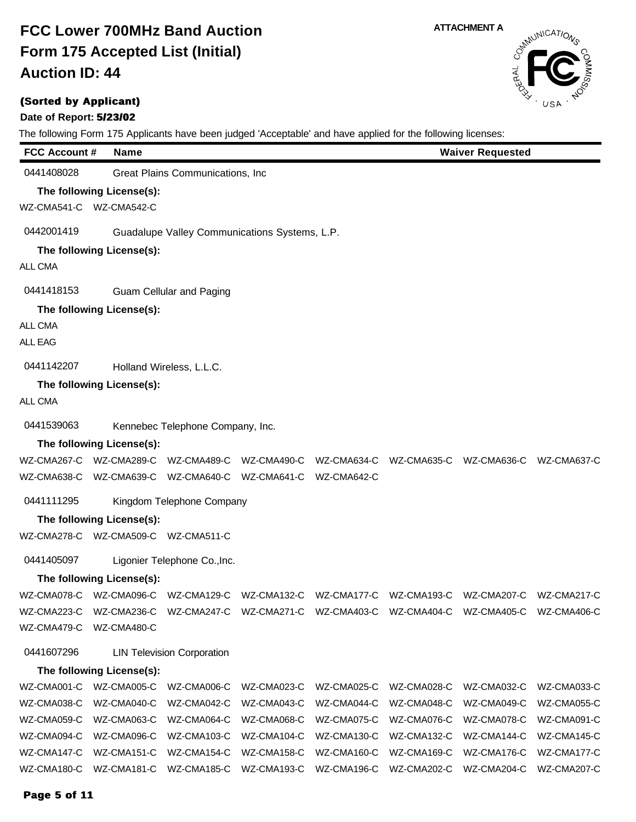### **(Sorted by Applicant) Date of Report: 5/23/02**

| FCC Account # | Name                      |                                                                                     |             |             | <b>Waiver Requested</b>                         |             |             |  |
|---------------|---------------------------|-------------------------------------------------------------------------------------|-------------|-------------|-------------------------------------------------|-------------|-------------|--|
| 0441408028    |                           | Great Plains Communications, Inc                                                    |             |             |                                                 |             |             |  |
|               | The following License(s): |                                                                                     |             |             |                                                 |             |             |  |
|               | WZ-CMA541-C WZ-CMA542-C   |                                                                                     |             |             |                                                 |             |             |  |
| 0442001419    |                           | Guadalupe Valley Communications Systems, L.P.                                       |             |             |                                                 |             |             |  |
| ALL CMA       | The following License(s): |                                                                                     |             |             |                                                 |             |             |  |
| 0441418153    |                           | <b>Guam Cellular and Paging</b>                                                     |             |             |                                                 |             |             |  |
|               | The following License(s): |                                                                                     |             |             |                                                 |             |             |  |
| ALL CMA       |                           |                                                                                     |             |             |                                                 |             |             |  |
| ALL EAG       |                           |                                                                                     |             |             |                                                 |             |             |  |
| 0441142207    |                           | Holland Wireless, L.L.C.                                                            |             |             |                                                 |             |             |  |
|               | The following License(s): |                                                                                     |             |             |                                                 |             |             |  |
| ALL CMA       |                           |                                                                                     |             |             |                                                 |             |             |  |
| 0441539063    |                           | Kennebec Telephone Company, Inc.                                                    |             |             |                                                 |             |             |  |
|               | The following License(s): |                                                                                     |             |             |                                                 |             |             |  |
|               | WZ-CMA267-C WZ-CMA289-C   | WZ-CMA489-C                                                                         | WZ-CMA490-C |             | WZ-CMA634-C WZ-CMA635-C WZ-CMA636-C WZ-CMA637-C |             |             |  |
| WZ-CMA638-C   |                           | WZ-CMA639-C WZ-CMA640-C WZ-CMA641-C                                                 |             | WZ-CMA642-C |                                                 |             |             |  |
| 0441111295    |                           | Kingdom Telephone Company                                                           |             |             |                                                 |             |             |  |
|               | The following License(s): |                                                                                     |             |             |                                                 |             |             |  |
|               |                           | WZ-CMA278-C WZ-CMA509-C WZ-CMA511-C                                                 |             |             |                                                 |             |             |  |
| 0441405097    |                           | Ligonier Telephone Co., Inc.                                                        |             |             |                                                 |             |             |  |
|               | The following License(s): |                                                                                     |             |             |                                                 |             |             |  |
|               |                           | WZ-CMA078-C WZ-CMA096-C WZ-CMA129-C WZ-CMA132-C WZ-CMA177-C WZ-CMA193-C WZ-CMA207-C |             |             |                                                 |             | WZ-CMA217-C |  |
| WZ-CMA223-C   | WZ-CMA236-C               | WZ-CMA247-C                                                                         | WZ-CMA271-C | WZ-CMA403-C | WZ-CMA404-C                                     | WZ-CMA405-C | WZ-CMA406-C |  |
| WZ-CMA479-C   | WZ-CMA480-C               |                                                                                     |             |             |                                                 |             |             |  |
| 0441607296    |                           | <b>LIN Television Corporation</b>                                                   |             |             |                                                 |             |             |  |
|               | The following License(s): |                                                                                     |             |             |                                                 |             |             |  |
| WZ-CMA001-C   | WZ-CMA005-C               | WZ-CMA006-C                                                                         | WZ-CMA023-C | WZ-CMA025-C | WZ-CMA028-C                                     | WZ-CMA032-C | WZ-CMA033-C |  |
| WZ-CMA038-C   | WZ-CMA040-C               | WZ-CMA042-C                                                                         | WZ-CMA043-C | WZ-CMA044-C | WZ-CMA048-C                                     | WZ-CMA049-C | WZ-CMA055-C |  |
| WZ-CMA059-C   | WZ-CMA063-C               | WZ-CMA064-C                                                                         | WZ-CMA068-C | WZ-CMA075-C | WZ-CMA076-C                                     | WZ-CMA078-C | WZ-CMA091-C |  |
| WZ-CMA094-C   | WZ-CMA096-C               | WZ-CMA103-C                                                                         | WZ-CMA104-C | WZ-CMA130-C | WZ-CMA132-C                                     | WZ-CMA144-C | WZ-CMA145-C |  |
| WZ-CMA147-C   | WZ-CMA151-C               | WZ-CMA154-C                                                                         | WZ-CMA158-C | WZ-CMA160-C | WZ-CMA169-C                                     | WZ-CMA176-C | WZ-CMA177-C |  |
| WZ-CMA180-C   | WZ-CMA181-C               | WZ-CMA185-C                                                                         | WZ-CMA193-C | WZ-CMA196-C | WZ-CMA202-C                                     | WZ-CMA204-C | WZ-CMA207-C |  |

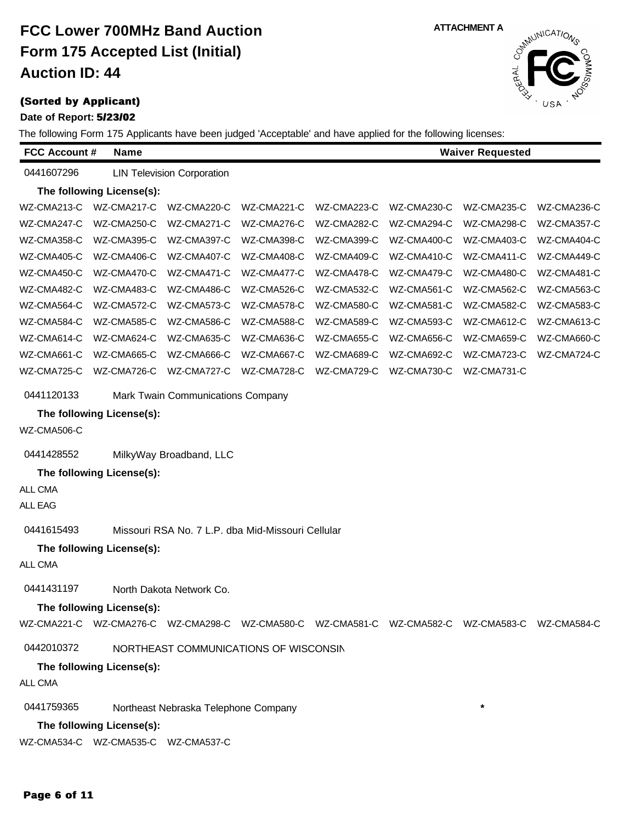## **(Sorted by Applicant)**

| <b>FCC Account #</b> | <b>Name</b>                         |                                                   |             |             |                                                                                                 | <b>Waiver Requested</b> |             |
|----------------------|-------------------------------------|---------------------------------------------------|-------------|-------------|-------------------------------------------------------------------------------------------------|-------------------------|-------------|
| 0441607296           |                                     | <b>LIN Television Corporation</b>                 |             |             |                                                                                                 |                         |             |
|                      | The following License(s):           |                                                   |             |             |                                                                                                 |                         |             |
| WZ-CMA213-C          | WZ-CMA217-C                         | WZ-CMA220-C                                       | WZ-CMA221-C | WZ-CMA223-C | WZ-CMA230-C                                                                                     | WZ-CMA235-C             | WZ-CMA236-C |
| WZ-CMA247-C          | WZ-CMA250-C                         | WZ-CMA271-C                                       | WZ-CMA276-C | WZ-CMA282-C | WZ-CMA294-C                                                                                     | WZ-CMA298-C             | WZ-CMA357-C |
| WZ-CMA358-C          | WZ-CMA395-C                         | WZ-CMA397-C                                       | WZ-CMA398-C | WZ-CMA399-C | WZ-CMA400-C                                                                                     | WZ-CMA403-C             | WZ-CMA404-C |
| WZ-CMA405-C          | WZ-CMA406-C                         | WZ-CMA407-C                                       | WZ-CMA408-C | WZ-CMA409-C | WZ-CMA410-C                                                                                     | WZ-CMA411-C             | WZ-CMA449-C |
| WZ-CMA450-C          | WZ-CMA470-C                         | WZ-CMA471-C                                       | WZ-CMA477-C | WZ-CMA478-C | WZ-CMA479-C                                                                                     | WZ-CMA480-C             | WZ-CMA481-C |
| WZ-CMA482-C          | WZ-CMA483-C                         | WZ-CMA486-C                                       | WZ-CMA526-C | WZ-CMA532-C | WZ-CMA561-C                                                                                     | WZ-CMA562-C             | WZ-CMA563-C |
| WZ-CMA564-C          | WZ-CMA572-C                         | WZ-CMA573-C                                       | WZ-CMA578-C | WZ-CMA580-C | WZ-CMA581-C                                                                                     | WZ-CMA582-C             | WZ-CMA583-C |
| WZ-CMA584-C          | WZ-CMA585-C                         | WZ-CMA586-C                                       | WZ-CMA588-C | WZ-CMA589-C | WZ-CMA593-C                                                                                     | WZ-CMA612-C             | WZ-CMA613-C |
| WZ-CMA614-C          | WZ-CMA624-C                         | WZ-CMA635-C                                       | WZ-CMA636-C | WZ-CMA655-C | WZ-CMA656-C                                                                                     | WZ-CMA659-C             | WZ-CMA660-C |
| WZ-CMA661-C          | WZ-CMA665-C                         | WZ-CMA666-C                                       | WZ-CMA667-C | WZ-CMA689-C | WZ-CMA692-C                                                                                     | WZ-CMA723-C             | WZ-CMA724-C |
| WZ-CMA725-C          | WZ-CMA726-C                         | WZ-CMA727-C                                       | WZ-CMA728-C | WZ-CMA729-C | WZ-CMA730-C                                                                                     | WZ-CMA731-C             |             |
| 0441120133           |                                     | Mark Twain Communications Company                 |             |             |                                                                                                 |                         |             |
|                      | The following License(s):           |                                                   |             |             |                                                                                                 |                         |             |
| WZ-CMA506-C          |                                     |                                                   |             |             |                                                                                                 |                         |             |
| 0441428552           |                                     | MilkyWay Broadband, LLC                           |             |             |                                                                                                 |                         |             |
|                      | The following License(s):           |                                                   |             |             |                                                                                                 |                         |             |
| ALL CMA              |                                     |                                                   |             |             |                                                                                                 |                         |             |
| ALL EAG              |                                     |                                                   |             |             |                                                                                                 |                         |             |
| 0441615493           |                                     | Missouri RSA No. 7 L.P. dba Mid-Missouri Cellular |             |             |                                                                                                 |                         |             |
|                      | The following License(s):           |                                                   |             |             |                                                                                                 |                         |             |
| ALL CMA              |                                     |                                                   |             |             |                                                                                                 |                         |             |
| 0441431197           |                                     | North Dakota Network Co.                          |             |             |                                                                                                 |                         |             |
|                      | The following License(s):           |                                                   |             |             |                                                                                                 |                         |             |
|                      |                                     |                                                   |             |             | WZ-CMA221-C WZ-CMA276-C WZ-CMA298-C WZ-CMA580-C WZ-CMA581-C WZ-CMA582-C WZ-CMA583-C WZ-CMA584-C |                         |             |
| 0442010372           |                                     | NORTHEAST COMMUNICATIONS OF WISCONSIN             |             |             |                                                                                                 |                         |             |
|                      | The following License(s):           |                                                   |             |             |                                                                                                 |                         |             |
| ALL CMA              |                                     |                                                   |             |             |                                                                                                 |                         |             |
| 0441759365           |                                     | Northeast Nebraska Telephone Company              |             |             |                                                                                                 | $^\ast$                 |             |
|                      | The following License(s):           |                                                   |             |             |                                                                                                 |                         |             |
|                      | WZ-CMA534-C WZ-CMA535-C WZ-CMA537-C |                                                   |             |             |                                                                                                 |                         |             |
|                      |                                     |                                                   |             |             |                                                                                                 |                         |             |



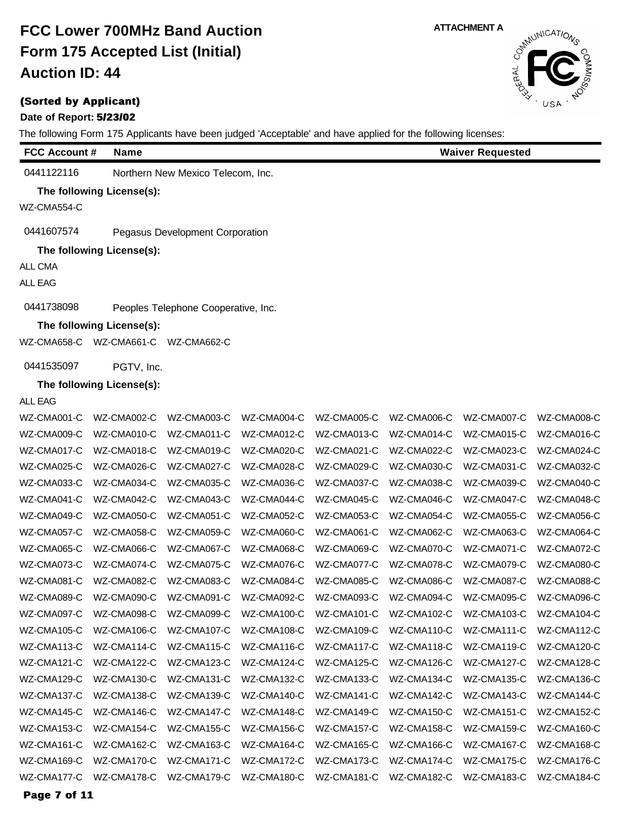### **(Sorted by Applicant) Date of Report: 5/23/02**

The following Form 175 Applicants have been judged 'Acceptable' and have applied for the following licenses:

| <b>FCC Account #</b> | <b>Name</b>               |                                     |             |             |             | <b>Waiver Requested</b> |             |
|----------------------|---------------------------|-------------------------------------|-------------|-------------|-------------|-------------------------|-------------|
| 0441122116           |                           | Northern New Mexico Telecom, Inc.   |             |             |             |                         |             |
|                      | The following License(s): |                                     |             |             |             |                         |             |
| WZ-CMA554-C          |                           |                                     |             |             |             |                         |             |
| 0441607574           |                           | Pegasus Development Corporation     |             |             |             |                         |             |
|                      | The following License(s): |                                     |             |             |             |                         |             |
| ALL CMA              |                           |                                     |             |             |             |                         |             |
| ALL EAG              |                           |                                     |             |             |             |                         |             |
| 0441738098           |                           | Peoples Telephone Cooperative, Inc. |             |             |             |                         |             |
|                      | The following License(s): |                                     |             |             |             |                         |             |
| WZ-CMA658-C          | WZ-CMA661-C               | WZ-CMA662-C                         |             |             |             |                         |             |
| 0441535097           | PGTV, Inc.                |                                     |             |             |             |                         |             |
|                      | The following License(s): |                                     |             |             |             |                         |             |
| <b>ALL EAG</b>       |                           |                                     |             |             |             |                         |             |
| WZ-CMA001-C          | WZ-CMA002-C               | WZ-CMA003-C                         | WZ-CMA004-C | WZ-CMA005-C | WZ-CMA006-C | WZ-CMA007-C             | WZ-CMA008-C |
| WZ-CMA009-C          | WZ-CMA010-C               | WZ-CMA011-C                         | WZ-CMA012-C | WZ-CMA013-C | WZ-CMA014-C | WZ-CMA015-C             | WZ-CMA016-C |
| WZ-CMA017-C          | WZ-CMA018-C               | WZ-CMA019-C                         | WZ-CMA020-C | WZ-CMA021-C | WZ-CMA022-C | WZ-CMA023-C             | WZ-CMA024-C |
| WZ-CMA025-C          | WZ-CMA026-C               | WZ-CMA027-C                         | WZ-CMA028-C | WZ-CMA029-C | WZ-CMA030-C | WZ-CMA031-C             | WZ-CMA032-C |
| WZ-CMA033-C          | WZ-CMA034-C               | WZ-CMA035-C                         | WZ-CMA036-C | WZ-CMA037-C | WZ-CMA038-C | WZ-CMA039-C             | WZ-CMA040-C |
| WZ-CMA041-C          | WZ-CMA042-C               | WZ-CMA043-C                         | WZ-CMA044-C | WZ-CMA045-C | WZ-CMA046-C | WZ-CMA047-C             | WZ-CMA048-C |
| WZ-CMA049-C          | WZ-CMA050-C               | WZ-CMA051-C                         | WZ-CMA052-C | WZ-CMA053-C | WZ-CMA054-C | WZ-CMA055-C             | WZ-CMA056-C |
| WZ-CMA057-C          | WZ-CMA058-C               | WZ-CMA059-C                         | WZ-CMA060-C | WZ-CMA061-C | WZ-CMA062-C | WZ-CMA063-C             | WZ-CMA064-C |
| WZ-CMA065-C          | WZ-CMA066-C               | WZ-CMA067-C                         | WZ-CMA068-C | WZ-CMA069-C | WZ-CMA070-C | WZ-CMA071-C             | WZ-CMA072-C |
| WZ-CMA073-C          | WZ-CMA074-C               | WZ-CMA075-C                         | WZ-CMA076-C | WZ-CMA077-C | WZ-CMA078-C | WZ-CMA079-C             | WZ-CMA080-C |
| WZ-CMA081-C          | WZ-CMA082-C               | WZ-CMA083-C                         | WZ-CMA084-C | WZ-CMA085-C | WZ-CMA086-C | WZ-CMA087-C             | WZ-CMA088-C |
| WZ-CMA089-C          | WZ-CMA090-C               | WZ-CMA091-C                         | WZ-CMA092-C | WZ-CMA093-C | WZ-CMA094-C | WZ-CMA095-C             | WZ-CMA096-C |
| WZ-CMA097-C          | WZ-CMA098-C               | WZ-CMA099-C                         | WZ-CMA100-C | WZ-CMA101-C | WZ-CMA102-C | WZ-CMA103-C             | WZ-CMA104-C |
| WZ-CMA105-C          | WZ-CMA106-C               | WZ-CMA107-C                         | WZ-CMA108-C | WZ-CMA109-C | WZ-CMA110-C | WZ-CMA111-C             | WZ-CMA112-C |
| WZ-CMA113-C          | WZ-CMA114-C               | WZ-CMA115-C                         | WZ-CMA116-C | WZ-CMA117-C | WZ-CMA118-C | WZ-CMA119-C             | WZ-CMA120-C |
| WZ-CMA121-C          | WZ-CMA122-C               | WZ-CMA123-C                         | WZ-CMA124-C | WZ-CMA125-C | WZ-CMA126-C | WZ-CMA127-C             | WZ-CMA128-C |
| WZ-CMA129-C          | WZ-CMA130-C               | WZ-CMA131-C                         | WZ-CMA132-C | WZ-CMA133-C | WZ-CMA134-C | WZ-CMA135-C             | WZ-CMA136-C |
| WZ-CMA137-C          | WZ-CMA138-C               | WZ-CMA139-C                         | WZ-CMA140-C | WZ-CMA141-C | WZ-CMA142-C | WZ-CMA143-C             | WZ-CMA144-C |
| WZ-CMA145-C          | WZ-CMA146-C               | WZ-CMA147-C                         | WZ-CMA148-C | WZ-CMA149-C | WZ-CMA150-C | WZ-CMA151-C             | WZ-CMA152-C |
| WZ-CMA153-C          | WZ-CMA154-C               | WZ-CMA155-C                         | WZ-CMA156-C | WZ-CMA157-C | WZ-CMA158-C | WZ-CMA159-C             | WZ-CMA160-C |
| WZ-CMA161-C          | WZ-CMA162-C               | WZ-CMA163-C                         | WZ-CMA164-C | WZ-CMA165-C | WZ-CMA166-C | WZ-CMA167-C             | WZ-CMA168-C |
| WZ-CMA169-C          | WZ-CMA170-C               | WZ-CMA171-C                         | WZ-CMA172-C | WZ-CMA173-C | WZ-CMA174-C | WZ-CMA175-C             | WZ-CMA176-C |
| WZ-CMA177-C          | WZ-CMA178-C               | WZ-CMA179-C                         | WZ-CMA180-C | WZ-CMA181-C | WZ-CMA182-C | WZ-CMA183-C             | WZ-CMA184-C |

Campunications USA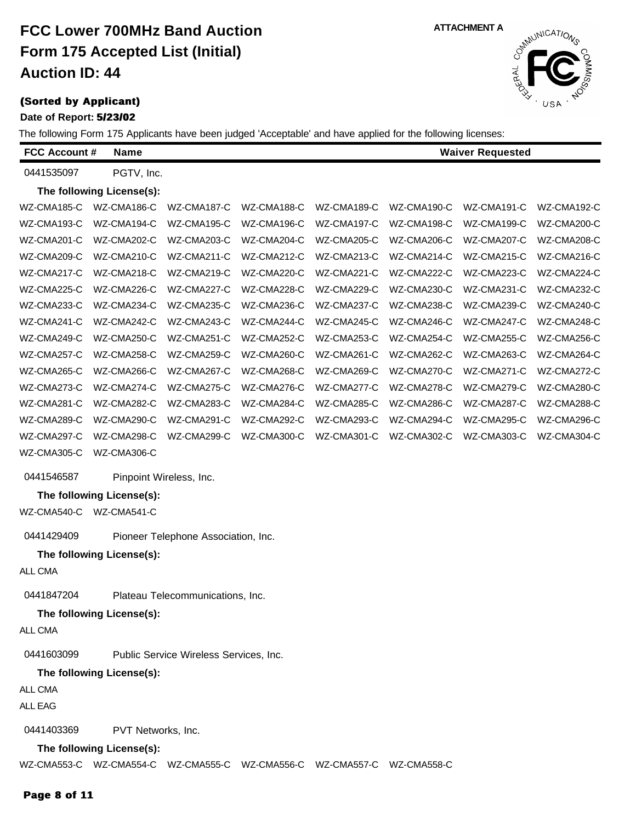**ATTACHMENT A**

Californic ATIONS

## **(Sorted by Applicant)**

**Date of Report: 5/23/02**

| <b>FCC Account #</b> | <b>Name</b>                                                 |                                        |             | <b>Waiver Requested</b> |             |             |             |  |  |
|----------------------|-------------------------------------------------------------|----------------------------------------|-------------|-------------------------|-------------|-------------|-------------|--|--|
| 0441535097           | PGTV, Inc.                                                  |                                        |             |                         |             |             |             |  |  |
|                      | The following License(s):                                   |                                        |             |                         |             |             |             |  |  |
| WZ-CMA185-C          | WZ-CMA186-C                                                 | WZ-CMA187-C                            | WZ-CMA188-C | WZ-CMA189-C             | WZ-CMA190-C | WZ-CMA191-C | WZ-CMA192-C |  |  |
| WZ-CMA193-C          | WZ-CMA194-C                                                 | WZ-CMA195-C                            | WZ-CMA196-C | WZ-CMA197-C             | WZ-CMA198-C | WZ-CMA199-C | WZ-CMA200-C |  |  |
| WZ-CMA201-C          | WZ-CMA202-C                                                 | WZ-CMA203-C                            | WZ-CMA204-C | WZ-CMA205-C             | WZ-CMA206-C | WZ-CMA207-C | WZ-CMA208-C |  |  |
| WZ-CMA209-C          | WZ-CMA210-C                                                 | WZ-CMA211-C                            | WZ-CMA212-C | WZ-CMA213-C             | WZ-CMA214-C | WZ-CMA215-C | WZ-CMA216-C |  |  |
| WZ-CMA217-C          | WZ-CMA218-C                                                 | WZ-CMA219-C                            | WZ-CMA220-C | WZ-CMA221-C             | WZ-CMA222-C | WZ-CMA223-C | WZ-CMA224-C |  |  |
| WZ-CMA225-C          | WZ-CMA226-C                                                 | WZ-CMA227-C                            | WZ-CMA228-C | WZ-CMA229-C             | WZ-CMA230-C | WZ-CMA231-C | WZ-CMA232-C |  |  |
| WZ-CMA233-C          | WZ-CMA234-C                                                 | WZ-CMA235-C                            | WZ-CMA236-C | WZ-CMA237-C             | WZ-CMA238-C | WZ-CMA239-C | WZ-CMA240-C |  |  |
| WZ-CMA241-C          | WZ-CMA242-C                                                 | WZ-CMA243-C                            | WZ-CMA244-C | WZ-CMA245-C             | WZ-CMA246-C | WZ-CMA247-C | WZ-CMA248-C |  |  |
| WZ-CMA249-C          | WZ-CMA250-C                                                 | WZ-CMA251-C                            | WZ-CMA252-C | WZ-CMA253-C             | WZ-CMA254-C | WZ-CMA255-C | WZ-CMA256-C |  |  |
| WZ-CMA257-C          | WZ-CMA258-C                                                 | WZ-CMA259-C                            | WZ-CMA260-C | WZ-CMA261-C             | WZ-CMA262-C | WZ-CMA263-C | WZ-CMA264-C |  |  |
| WZ-CMA265-C          | WZ-CMA266-C                                                 | WZ-CMA267-C                            | WZ-CMA268-C | WZ-CMA269-C             | WZ-CMA270-C | WZ-CMA271-C | WZ-CMA272-C |  |  |
| WZ-CMA273-C          | WZ-CMA274-C                                                 | WZ-CMA275-C                            | WZ-CMA276-C | WZ-CMA277-C             | WZ-CMA278-C | WZ-CMA279-C | WZ-CMA280-C |  |  |
| WZ-CMA281-C          | WZ-CMA282-C                                                 | WZ-CMA283-C                            | WZ-CMA284-C | WZ-CMA285-C             | WZ-CMA286-C | WZ-CMA287-C | WZ-CMA288-C |  |  |
| WZ-CMA289-C          | WZ-CMA290-C                                                 | WZ-CMA291-C                            | WZ-CMA292-C | WZ-CMA293-C             | WZ-CMA294-C | WZ-CMA295-C | WZ-CMA296-C |  |  |
| WZ-CMA297-C          | WZ-CMA298-C                                                 | WZ-CMA299-C                            | WZ-CMA300-C | WZ-CMA301-C             | WZ-CMA302-C | WZ-CMA303-C | WZ-CMA304-C |  |  |
| WZ-CMA305-C          | WZ-CMA306-C                                                 |                                        |             |                         |             |             |             |  |  |
| 0441546587           | Pinpoint Wireless, Inc.                                     |                                        |             |                         |             |             |             |  |  |
|                      | The following License(s):                                   |                                        |             |                         |             |             |             |  |  |
| WZ-CMA540-C          | WZ-CMA541-C                                                 |                                        |             |                         |             |             |             |  |  |
| 0441429409           |                                                             | Pioneer Telephone Association, Inc.    |             |                         |             |             |             |  |  |
|                      | The following License(s):                                   |                                        |             |                         |             |             |             |  |  |
| ALL CMA              |                                                             |                                        |             |                         |             |             |             |  |  |
| 0441847204           |                                                             | Plateau Telecommunications, Inc.       |             |                         |             |             |             |  |  |
|                      | The following License(s):                                   |                                        |             |                         |             |             |             |  |  |
| ALL CMA              |                                                             |                                        |             |                         |             |             |             |  |  |
| 0441603099           |                                                             | Public Service Wireless Services, Inc. |             |                         |             |             |             |  |  |
|                      | The following License(s):                                   |                                        |             |                         |             |             |             |  |  |
| <b>ALL CMA</b>       |                                                             |                                        |             |                         |             |             |             |  |  |
| ALL EAG              |                                                             |                                        |             |                         |             |             |             |  |  |
| 0441403369           | PVT Networks, Inc.                                          |                                        |             |                         |             |             |             |  |  |
|                      | The following License(s):                                   |                                        |             |                         |             |             |             |  |  |
|                      | WZ-CMA553-C WZ-CMA554-C WZ-CMA555-C WZ-CMA556-C WZ-CMA557-C |                                        |             |                         | WZ-CMA558-C |             |             |  |  |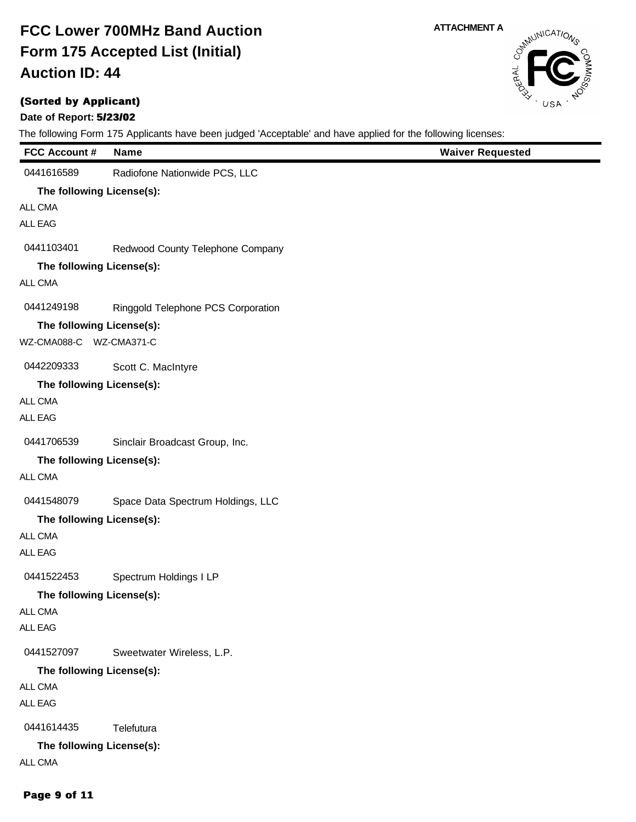### **(Sorted by Applicant) Date of Report: 5/23/02**

| <b>FCC Account #</b>      | <b>Name</b>                        | . .<br><b>Waiver Requested</b> |
|---------------------------|------------------------------------|--------------------------------|
| 0441616589                | Radiofone Nationwide PCS, LLC      |                                |
| The following License(s): |                                    |                                |
| ALL CMA                   |                                    |                                |
| ALL EAG                   |                                    |                                |
| 0441103401                | Redwood County Telephone Company   |                                |
| The following License(s): |                                    |                                |
| <b>ALL CMA</b>            |                                    |                                |
| 0441249198                | Ringgold Telephone PCS Corporation |                                |
| The following License(s): |                                    |                                |
| WZ-CMA088-C WZ-CMA371-C   |                                    |                                |
| 0442209333                | Scott C. MacIntyre                 |                                |
| The following License(s): |                                    |                                |
| ALL CMA                   |                                    |                                |
| ALL EAG                   |                                    |                                |
| 0441706539                | Sinclair Broadcast Group, Inc.     |                                |
| The following License(s): |                                    |                                |
| ALL CMA                   |                                    |                                |
| 0441548079                | Space Data Spectrum Holdings, LLC  |                                |
| The following License(s): |                                    |                                |
| ALL CMA                   |                                    |                                |
| ALL EAG                   |                                    |                                |
| 0441522453                | Spectrum Holdings I LP             |                                |
| The following License(s): |                                    |                                |
| <b>ALL CMA</b>            |                                    |                                |
| <b>ALL EAG</b>            |                                    |                                |
| 0441527097                | Sweetwater Wireless, L.P.          |                                |
| The following License(s): |                                    |                                |
| <b>ALL CMA</b>            |                                    |                                |
| ALL EAG                   |                                    |                                |
| 0441614435                | Telefutura                         |                                |
| The following License(s): |                                    |                                |
| ALL CMA                   |                                    |                                |

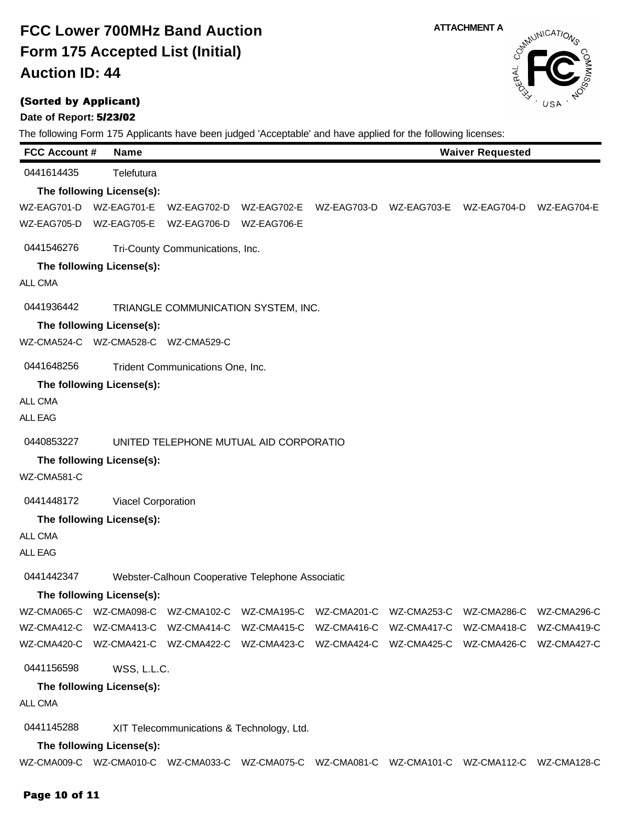

## **(Sorted by Applicant)**

|  | -- |                         |  |
|--|----|-------------------------|--|
|  |    | Date of Report: 5/23/02 |  |

| <b>FCC Account #</b> | <b>Name</b>                         |                                                  |             |             | <b>Waiver Requested</b> |             |             |  |
|----------------------|-------------------------------------|--------------------------------------------------|-------------|-------------|-------------------------|-------------|-------------|--|
| 0441614435           | Telefutura                          |                                                  |             |             |                         |             |             |  |
|                      | The following License(s):           |                                                  |             |             |                         |             |             |  |
| WZ-EAG701-D          | WZ-EAG701-E                         | WZ-EAG702-D                                      | WZ-EAG702-E | WZ-EAG703-D | WZ-EAG703-E             | WZ-EAG704-D | WZ-EAG704-E |  |
|                      | WZ-EAG705-D WZ-EAG705-E             | WZ-EAG706-D                                      | WZ-EAG706-E |             |                         |             |             |  |
| 0441546276           |                                     | Tri-County Communications, Inc.                  |             |             |                         |             |             |  |
|                      | The following License(s):           |                                                  |             |             |                         |             |             |  |
| ALL CMA              |                                     |                                                  |             |             |                         |             |             |  |
| 0441936442           |                                     | TRIANGLE COMMUNICATION SYSTEM, INC.              |             |             |                         |             |             |  |
|                      | The following License(s):           |                                                  |             |             |                         |             |             |  |
|                      | WZ-CMA524-C WZ-CMA528-C WZ-CMA529-C |                                                  |             |             |                         |             |             |  |
| 0441648256           |                                     | Trident Communications One, Inc.                 |             |             |                         |             |             |  |
|                      | The following License(s):           |                                                  |             |             |                         |             |             |  |
| ALL CMA              |                                     |                                                  |             |             |                         |             |             |  |
| ALL EAG              |                                     |                                                  |             |             |                         |             |             |  |
| 0440853227           |                                     | UNITED TELEPHONE MUTUAL AID CORPORATIO           |             |             |                         |             |             |  |
|                      | The following License(s):           |                                                  |             |             |                         |             |             |  |
| WZ-CMA581-C          |                                     |                                                  |             |             |                         |             |             |  |
| 0441448172           | Viacel Corporation                  |                                                  |             |             |                         |             |             |  |
|                      | The following License(s):           |                                                  |             |             |                         |             |             |  |
| ALL CMA              |                                     |                                                  |             |             |                         |             |             |  |
| ALL EAG              |                                     |                                                  |             |             |                         |             |             |  |
| 0441442347           |                                     | Webster-Calhoun Cooperative Telephone Associatic |             |             |                         |             |             |  |
|                      | The following License(s):           |                                                  |             |             |                         |             |             |  |
| WZ-CMA065-C          | WZ-CMA098-C                         | WZ-CMA102-C WZ-CMA195-C WZ-CMA201-C WZ-CMA253-C  |             |             |                         | WZ-CMA286-C | WZ-CMA296-C |  |
| WZ-CMA412-C          | WZ-CMA413-C                         | WZ-CMA414-C                                      | WZ-CMA415-C | WZ-CMA416-C | WZ-CMA417-C             | WZ-CMA418-C | WZ-CMA419-C |  |
| WZ-CMA420-C          |                                     | WZ-CMA421-C WZ-CMA422-C                          | WZ-CMA423-C | WZ-CMA424-C | WZ-CMA425-C             | WZ-CMA426-C | WZ-CMA427-C |  |
| 0441156598           | WSS, L.L.C.                         |                                                  |             |             |                         |             |             |  |
|                      | The following License(s):           |                                                  |             |             |                         |             |             |  |
| ALL CMA              |                                     |                                                  |             |             |                         |             |             |  |
| 0441145288           |                                     | XIT Telecommunications & Technology, Ltd.        |             |             |                         |             |             |  |
|                      | The following License(s):           |                                                  |             |             |                         |             |             |  |
|                      | WZ-CMA009-C WZ-CMA010-C WZ-CMA033-C |                                                  | WZ-CMA075-C | WZ-CMA081-C | WZ-CMA101-C             | WZ-CMA112-C | WZ-CMA128-C |  |